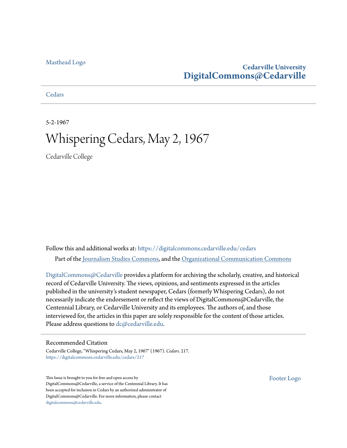### [Masthead Logo](http://www.cedarville.edu/?utm_source=digitalcommons.cedarville.edu%2Fcedars%2F217&utm_medium=PDF&utm_campaign=PDFCoverPages)

## **Cedarville University [DigitalCommons@Cedarville](https://digitalcommons.cedarville.edu?utm_source=digitalcommons.cedarville.edu%2Fcedars%2F217&utm_medium=PDF&utm_campaign=PDFCoverPages)**

### **[Cedars](https://digitalcommons.cedarville.edu/cedars?utm_source=digitalcommons.cedarville.edu%2Fcedars%2F217&utm_medium=PDF&utm_campaign=PDFCoverPages)**

5-2-1967

# Whispering Cedars, May 2, 1967

Cedarville College

Follow this and additional works at: [https://digitalcommons.cedarville.edu/cedars](https://digitalcommons.cedarville.edu/cedars?utm_source=digitalcommons.cedarville.edu%2Fcedars%2F217&utm_medium=PDF&utm_campaign=PDFCoverPages) Part of the [Journalism Studies Commons](http://network.bepress.com/hgg/discipline/333?utm_source=digitalcommons.cedarville.edu%2Fcedars%2F217&utm_medium=PDF&utm_campaign=PDFCoverPages), and the [Organizational Communication Commons](http://network.bepress.com/hgg/discipline/335?utm_source=digitalcommons.cedarville.edu%2Fcedars%2F217&utm_medium=PDF&utm_campaign=PDFCoverPages)

[DigitalCommons@Cedarville](http://digitalcommons.cedarville.edu/) provides a platform for archiving the scholarly, creative, and historical record of Cedarville University. The views, opinions, and sentiments expressed in the articles published in the university's student newspaper, Cedars (formerly Whispering Cedars), do not necessarily indicate the endorsement or reflect the views of DigitalCommons@Cedarville, the Centennial Library, or Cedarville University and its employees. The authors of, and those interviewed for, the articles in this paper are solely responsible for the content of those articles. Please address questions to [dc@cedarville.edu.](mailto:dc@cedarville.edu)

### Recommended Citation

Cedarville College, "Whispering Cedars, May 2, 1967" (1967). *Cedars*. 217. [https://digitalcommons.cedarville.edu/cedars/217](https://digitalcommons.cedarville.edu/cedars/217?utm_source=digitalcommons.cedarville.edu%2Fcedars%2F217&utm_medium=PDF&utm_campaign=PDFCoverPages)

This Issue is brought to you for free and open access by DigitalCommons@Cedarville, a service of the Centennial Library. It has been accepted for inclusion in Cedars by an authorized administrator of DigitalCommons@Cedarville. For more information, please contact [digitalcommons@cedarville.edu](mailto:digitalcommons@cedarville.edu).

[Footer Logo](http://www.cedarville.edu/Academics/Library.aspx?utm_source=digitalcommons.cedarville.edu%2Fcedars%2F217&utm_medium=PDF&utm_campaign=PDFCoverPages)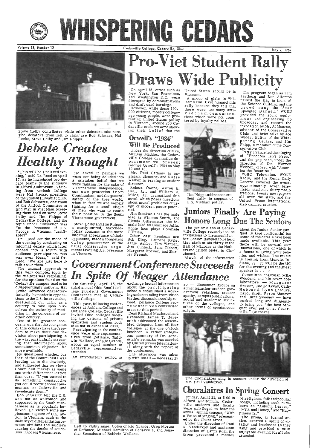

WHISPERING GEDARS

Volume 13, Number 12



Steve Leiby contributes while other debaters take note. The debaters from left to right are Bob Schwarz, Hal Lenke, Steve Leiby and Jim Phipps.

# *Debate Creates* **Healthy Thought**

"This will be a relaxed eve-<br>ning," said Dr. Reed on April 17, as he introduced two debate teams to the audience in Alford Auditorium. Visiting from Antioch College of the Student Humanist Club, and Bob Schwartz, chairman of the Antioch Committee to End War in Viet Nam. Meeting them head on were Steve Leiby and Jim Phipps of Cedarville College, and the topic under discussion was "Is the Presence of U.S. Troops in Vietnam Justifi-able?"

Dr. Reed set the mood of the evening by conducting an informal debate which later opened into a forum with audience participation. "No war over ideas," said Dr. Reed. "We are just here to<br>talk about them."

Steve Leiby and Jim Phipps, a neatly-suited, starchedcollar contrast to the more informal appearance of their opponents, made a competent crisp presentation of the usual conservative arguments favoring U.S. presence in Vietnam.

# Pro-Viet Student Rally Draws Wide Publicity

and draft card burnings. However, while these 160,- 000 citizens, mostly collegeage young people, were pro-<br>testing United States policy<br>in Vietnam, around 250 Cedarville students were showing their belief that the

## Orwell's "1984" Will Be Produced

Under the direction of Mrs. Miriam Maddox, the Cedarville College dramatics de-George Orwell's 1984 on May 12 and 13.

Mr. Paul Gathany is as-<br>sistant director, and Katie Walker is serving as student director.

He asked if perhaps we were not being deluded into a mistaken belief that we were fighting for the sake of V i e t namese independence, our own protection from<br>Communism, and the general safety of the free world,<br>when in fact we are merely fighting for a small clique<br>of men who want to retain their position in the South Vietnamese government.

Robert Owens, Wilton E. Ha:1, Jr., and William A. Miles, Jr. dramatized this<br>novel which poses questions about moral problems of usage of modern power potential.

Jim Stockwell has the male lead as Winston Smith, and Glenda Gillenwater the female lead as Comrade Julia. Robie Ison plays Comrade<br>O'Brien. O'Brien.

United States should be in<br>Vietnam.<br>A group of girls in Wil-<br>liams Hall first planned this<br>rally because they felt that<br>there were too many anti-<br>Vietnam demonstrations which were not countered by loyalty rallies.

The program began as Tim Jertberg and Ron Allerton the Science Building and the<br>crowd sang the "Star<br>Spangled Banner." WCRD provided the sound equip-<br>ment and engineering to ment and engineering to<br>broadcast and record the<br>invocation.by.Mr.Al.Monroe, advisor of the Conservative Club; and brief talks by Joe Snider, Editor of the Whispering Cedars, and Jim Phipp, a member of the Conservative Club.

On April 15, cities such as New York, San Francisco, and Washington D.C. were disrupted by demonstrations

> Patty France led the singing<br>of "Freedom Isn't Free," and the pep band, under the direction of Dr. Warren Webber, closed with "America the Beautiful."

The unusual approach to this very complex topic by the visitors was refreshing, for the opinions found on the 'Cedarville campus tend to be disappointingly uniform. Hal Lenke advanced characteristically humanistic opposi- tions to the U.S. intervention, questioning our right as <sup>a</sup> country to take upon our-<br>selves the audacity of med-<br>dling in the concerns of an-

# *Government Con erence Succeeds In Spite Of Meager Attendance*

On Saturday, April 15, the exchange factual information so -<br>third annual Ohio Small Col-<br>about the participating sign third annual Ohio Small Col-<br>lege Student Government schools established a work-Conference met at Cedar- ingunderstanding from which

This year, following confer-<br>eeu. Defiance College rep-<br>ences at Ashland College and<br>most to this period.<br>Defiance College, Cedarville most to this period.<br>Defiance College, Cedarville most to this period.<br>invited Ohio col size not in excess of 2000.

about the Junior-Senior Banquet is kept confidential but some of the details have been made available. This year there will be several new innovations, one of which is a fountain. Bring your pen- nies and wishes. The music is coming from Muncie, Indiana,  $22 \times 22$  will be the MC for the evening and the guest speaker is  $\ldots$  ?

Other cast members are Bob King, Laurene Kytle, Janie Ashby, Tim Warren, Jim Gunlock, Jane Tibbett, Margaret Brewer, and Shir- ley French.



Jim Phipps addresses student rally in support of U.S. Vietnam policy.

other country.<br>One of his greatest concerns was that the young men of this country have the free-<br>dom to make their own decision about participating in the war, particularly stress- ing that information about conscientious objection be more available. He questioned whether our fear of the Communists was leading us to die unwisely, and suggested that we view a Communist merely as some one with a different education than ours. "If you wanted to do something constructive you could recruit some communists at Cedarville and re-educate them. Bob Schwartz felt the U.S. was not as welcomed and supported by the South Viet-<br>namese as is popularly believed. He viewed some unpleasant aspects of U.S. ac tion in Vietnam, such as the inability of differentiating between civilians and soldiers causing the deaths of countless innocent Vietnamese.

Committee chairman Mike Woodend and his seven col  $laborators - Margaret$ laborators — Margaret<br>Brewer, JoeHollaway, Cathy<br>Hubbard, Lynn Lescure, Carol Scott, Byron Shearer and Buzz Sweeney — have<br>worked long and diligently to bring you "the best ban-

ville College. further discussion could pro-<br>This year, following confer-<br> $\begin{array}{c} \text{ceed.} \text{Defiance College rep-} \\ \text{res:} \text{contributed} \end{array}$ ceed. Defiance College repres entatives contributed m)st to this period.

 WHIO Television, WONE Radio, and the Xenia Daily Gazette covered the event. Approximately seven tele vision stations, thirty radio stations, twenty newspapers all over the state, and the United Press International also carried stories.

by United Press International along with the report of the conference.

The afternoon was taken up with  $small$ -necessarily



Left to right: Angel Colon of Rio Grande, Greg Morton of Defiance, Michael Hamilton of Cedarville, and Jonathan Sonneborn of Baldwin-Wallace.

# Juniors Finally Are Paying Honors Long Due The Seniors

The junior class of Cedar ville College recently issued<br>invitations to the annual Junior-Senior Banquet to be held May sixth at six thirty in the Hall of Mirrors at the Netherland Hilton Hotel in Cincinnati.

Friday, April 21, at 8: 00 in Alford Auditorium, Cedarville students and faculty were privileged to hear the annual spring concert, "With a Voice of Singing, **"** present-<br>ed by the Choralaires.

M u ch of the information

The group, in formal at-<br>tire, exerted a spirit of vitality and freshness as they sang and provided a most enjoyable evening for all who attended.

Participating in the conference were nine representa tives from Defiance, Baldwin-Wallace, and Rio Grande. About an equal number of Cedarville representatives attended.

An introductory period to

Dean Richard Macintosh and President James T. Jeremiah addressed the assembled delegates from all four colleges at the one o'clock luncheon. A rather ambigu-<br>ous summary of Dr. Jereous summary of Dr. Jere- miah's remarks was carried so - discussion groups on<br>administration-student government relations, student apathy, campus publications, social and academic struc-<br>tures of the colleges, and other items of spontaneous origin.



The Choralaires sing in concert under the direction of Mr. Paul Vanderkoy.

# Choralaires In Spring Concert

Under the direction of Paul A. Vanderkoy and assistant direction of Larry Pugh the group presented a medley

of religious, folk and popular songs, including such num-<br>bers as "Autumn Leaves," "Milk and Honey,• and "Hap- piness Is."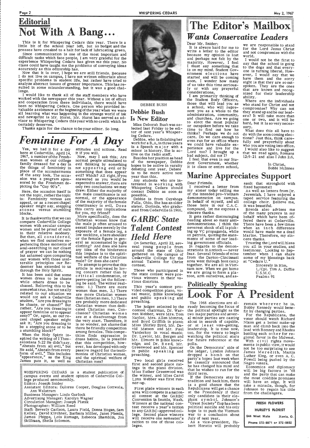# Editorial Not With A Bang...

This is it for Whispering Cedars this year. There is a little bit of the school year left, but no budget and the presses have creaked to a halt for lack of lubricating green.

Since communication is one of the most important and<br>difficult tasks which face people, I am very grateful for the<br>experience Whispering Cedars has given me this year. No<br>class could have taught me the problems of conveyin

specific problems in student life, but rather have tried to sulted in some misunderstanding, but it was a good chal-lenge.

Yes, we had it for a day here at Cedarville. April 14, 1967, a number of the Freshman women of our college family dressed for a day in the things of femininity in place of the accouterments of the sexy look. The occasion was a program sponsored by the Freshmen depicting the "Gay 90's".

Now, may I ask this; Are normal people stimulated to evil thinking by something<br>not appearing evil or by something that does appear evil? Which? All right, if you answered as you would be expected to answer, there are<br>only two conclusions we may draw: Either the majority of<br>the male constituance is not normal, or the appearance<br>of the majority of the female<br>constituancy is evil. Does this carry any implications for you, my friend?

It is thankworthy that we can<br>
Christian women know that<br>
Compare Cedarville College<br>
the male is after survey to

I would like to thank all of the staff members who have and cooperation from these individuals, there would have<br>been no Whispering Cedars. One person who provided in-<br>valuable assistance at the beginning of the year when we were<br>all learning what was happening in the strange w visor to Whispering Cedars this year with no credit which he certainly deserves.

Thanks again for the chance to be your editor. So long.

# *Fe~inine For A Day*

Here, the occasion itself is not the topic, rather the topic<br>is: Femininity versus sex<br>appeal, or as a recent chapel speaker might say, stepping <sup>s</sup>tones versus stumbling blocks.

compare Cedarville College the male is often aroused to women with secular campus  $\frac{1}{2}$  carried impulse margly by the women with secular campus<br>women and be proud of ours sexual impulse merely by the women and be proud of ours<br>in their relative modesty. Iow neckline, a bare shoulder<br>But then, all considered, or the female figure in gen-<br>periencing those moments of eral as accentuated by tight<br>periencing those moments periencing those moments of clothing? And does she have<br>soul-searching in our closet<br>of prayer we can be nothing<br>but ashamed upon comparing this impulse is to the spiri-<br>tual welfare of the Christian our women with those unal-<br>terable principles our Re-<br>To attempt to prove that

attitudes and actions. Read it if you will.

# WHISPERING CEDARS May 2, 1967<br>  $\overline{\text{The Editor's$ **Mailbox** *Wants Conservative Leaders*

### Dear Mr. Snider:<br>we are responsible to stand for the Lord Jesus Christ and not compromise with the world.

Miss Deborah Bush was selected last Friday to be editor of next year's Whisper-<br>ing Cedars.<br>Debbie, who is finishing her

work for a B.A. in three years<br>is a Speech major with a minor in history. She is active on the radio staff.

Any students who are in-<br>terested in working with Whispering Cedars should contact Debbie as soon as possible.

To attempt to prove that this deemer has extended to us article is motivated by lov-<br>through the Holy Spirit. ing concern rather than by<br>It has been said that some critical condemnation or It has been said that some critical condemnation, or<br>women dress to be chaste peeve-petting let the followwomen dress to be chaste<br>while others dress to be<br>ing be said: The writer real-<br>chased. Believing this to be<br>somewhat true, but not totally<br>women than men. 2.) There<br>related to our situation we<br>are more Christian women would not ask a Cedarville than Christian men. 3.) There<br>student. "Are you dressing to are probably more dedicated<br>rather, "Are you dressing to cated Christian men. Conrather, "Are you dressing to cated Christian men. Con-<br>appear feminine or to appear clusion? Christian women appear feminine orto appear clusion? Christian women sexy?" Or, again, as our re- are at a disadvantage from cent chapel speaker might the very start. Therefore, it extracture chapel speaker might the very start. Therefore, it as ask it; "Are you dressing to is no wonder, not shame that a stumbling block?" among females This competition a stumbling block?" among females. This compe-<br>When the Holy Spirit in-<br>spired the writing of I Thes- dress habits. Is is possible contest. Those who participated in the state contest were pre-<br>vious winners in their various districts. This year's contest pro- vided competition piano, vocal music, Bible knowledge and public speaking and preaching. The judges selected by the contest chairman, Dr. Warren Webber, were Mrs. Tom Naylor, Mrs. Allen Monroe,<br>and Boyd Griffith in piano; Miss Shirley Byrd, Mr. Da-Vanderkoy in vocal music;



I received a letter from my sister today telling me of the intended pro-Vietnam demonstration on campus. In behalf of myself, and all those here in our C.A.C. compound, let me express a<br>sincere thanks.<br>It gets rather discouraging

reading about so many antidemonstrations. I think the<br>severest shock of all is picking up VC propaganda, while on patrols, quoting the statements of some of our leading government officials.

Trusting the Lord will bless you all in your studies, and testimony. Looking to Sep- tember when I can share some of my blessings back at "Cedars U."

spired the writing of IThes-<br>dress habits. Is is possible<br>salonians 5:22 He didn't say, that this competition, how-<br>"Abstain from all evil," but ever, has developed with only<br>He said, "Abstain from every passive regard fo campus events and student opinion of Cedarville Col- $\frac{N}{N}$ lege produced semimonthly. Editor: Joseph Snider Assistant Editors: Dolores Cooper, Douglas Gottwals, Business Manager: Linda Garlock Advertising Manager: Karolyn Wagner Circulation Manager: Joseph Platek Photographer: William Reed Staff: Beverly Carlson, Laura Field, Donna Hogan, Sam. Kelley, David Kirchner, Barbara Miller, Janet Phenix, James Phipps, Lois Rumage, Rebecca Shamblin, Jon Skillman, Sheila Solomon. ;:~~: .. :.:~:.:;~:::.:\_:\_:\_:;\_ .. :\_:::~:.:\_:\_:\_:\_:\_:\_:\_:\_:\_:\_:\_:\_:\_:\_:\_:\_:::.:\_:\_:\_:\_:\_:\_:\_:\_:\_:\_:\_:\_:::.:\_:\_:\_:\_:\_:.:.:\_:\_:\_:\_:\_:\_ .. :.·.·.·:.·.·.:\_:\_·\_·\_·\_·:.·.·:.·.:~~:~ Dr. Lawlor, Mr. Bergen and Mr. Elmore in Bible knowledge; and Dr. Reed, Mr.<br>Greenwood and Mr. Spencer in public speaking and preaching. Two local girls received first and second place rat- ings in the piano division. Miss Esther Greenwood was the winner, and Miss Carol Lynn Webber was first runner-up. First place winners in each area will compete in a national contest at the GARBC Convention in Seattle, Wash. Winners at the national contest receive a year's tuition<br>to any GARBC-approved college. Second place winners will receive one semester's tuition to one of those colleges. polls. third term.

## DEBBIE BUSH Debbie Bush Is New Editor

vid Matson and Mr. Paul leadership. It is time now, The 1968 elections are already becoming the focus of the political spotlight as the two major parties and sever-<br>al minor parties are casting about in search of capable, or at least vote-getting,<br>leadership. It is time now,<br>too, for the voters to begin watching the political stars for future reference at the On the Democrats' side of the ledger, Lyndon Johnson dropped a bomb on that party's hopes last week when he casually announced that he has changed his mind and that he wishes to run for the If the Democrats stay by tradition and back him, there is a good chance that the Republicans will get a chance at the Presidency if their only candidate is their elephant symbol. Johnson's "Great Society" flop has been political suicide and his only hope is to push the Vietnam war to a conclusion about July of next year. As a vice-president, Hu bert Horatio will probably

Besides her position as head of the newspaper, Debbie<br>hopes to be active in varsity debating next year. Debate is to be more active next year than this.

Debbie is from Cuyahoga Falls, Ohio. She has an older sister, Dorinda, who gradu- ated from Cedarville in 1966 •.

## *GARBC State Talent Contest Held Here*

On Saturday, April 22, sev eral young people from around the state of Ohio gathered on the campus of<br>Cedarville College for the annual Talents for Christ

It is always hard for me to write a letter to the editor because my opinion is lost<br>and perhaps not felt by the majority. However, I feel <sup>I</sup>must say something that is on my mind. Student Government elections have started and will be coming<br>soon. I wonder how many of us take this time seriously or with any prayerful considerations.

<sup>I</sup>am primarily thinking of the Student Body Officers,. those that will lead you as <sup>a</sup>school, who will represent you as a whole to the administration, community, and churches. Are we going to elect the most popular or outspoken before we take time to find out how he thinks? Perhaps we do not care. Do we care enough to even run for an office where we could have valuable experience and live for the Lord too? I brought up a bad subject, did not I?

I feel that even in our Student Government, whether it is class or entire school,

I would not be the first to say that the school is going to the dogs and that everyone is turning liberal. Howhave them and the sorry sight is that they are so outspoken. They are the ones that are known and recog- nized for their leadership ability ..

Where are the individuals who stand for Christ and not compromise? Why can not they stand up and be our leaders? It will take more than one or two, and it will be hard, but it is so very necessary.

What does this all have to do with the soon coming elec- tions? Just this, think carefully and prayerfully about<br>who you are voting into office.<br>I would also like to suggest that we read again, Romans 12:9-21 and also I John 2:6.

> In Christ, Bobbi Mcinnes

# Marine Appreciates Support

### Dear Friends:

In regards to the demonstrations in Antioch - never fear. Several friends of mine from the Dayton-Cincinnati area went through boot camp together. We are all in Vietnam now. When we get home we are going to form a platoon, arm ourselves, and assault that stronghold with fixed bayonets!!

As well as letters from Dr. Jeremiah, I have enjoyed <sup>a</sup>taped service featuring the college choir. Believe me, it was beautiful.

Brenda also advises me of the many prayers in my behalf which have been of fered there at Cedarville. There have been a fewtimes when an inch difference would have made me a dead Marine. Therefore, my sin cere thanks.

> Sincerely in Him, L/Cpl. Tim A. Duffie U.S.M.C. Psalm,3 <sup>91</sup>



remain wherever he is. Bobby Kennedy would benefit by changing parties.

For the Republicans, the voter should watch Richard Nixon get a better make-up man and climb back into the lead with Romney and Rhodes battling each other for regional favor in the Midwest. With civil rights movements in public view, it would not be too surprising to see James Meredith, Martin Luther King, or even A. C. Powell being pushed by the Negro voters. Economics and diplomacy will be big factors in '68 and the party that can make<br>the most credible promises will have an edge. It will<br>take a miracle, though, for Johnson to regain his title from the challengers.

| FRESH FLOWERS              |               |  |           |
|----------------------------|---------------|--|-----------|
| HURLEY'S FLORIST           |               |  |           |
|                            | 544 West Main |  | Xenia, O. |
| Phone 372-8871 or 372-0852 |               |  |           |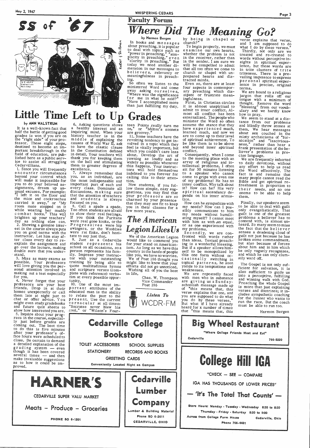



# May 2, 1967<br>
SS Of ST IVhore Did The Meaning Co ? Faculty Forum Where Did The Meaning of the Go?<br>
by Harmon Bergen<br>
in books and messages church?"<br>
about preaching, it is popular To begin properly, we must what I do by these verse explains that verse,<br>
to deal with topics such as exami

mension today we need another di-

So often we listen to the Even so, there are at least ience in precise, original<br>ministered Word and come four aspects in contempor-<br>away asking our selves, ary preaching which dis-<br>we are bound to a religious<br>"Where was t

than just fulfilling my duty, it is almost unspiritual to admit to inner conflict. Al-

6. healthy in the Constitution defined Cedarvillians. <sup>57</sup> them to greater degrees of<br>1. Since you will frequently excellence.

to show their real feelings.<br>If you think the Puritans  $\prod_{n=1}^{\infty}$  an  $\prod_{n=1}^{\infty}$  ating myself? I cannot meet dombat boots. This will to show their real teelings.<br>
brighten up your teachers' If you think the Puritans **The American** ating myself? I cannot meet<br> *a* showing else can. <sup>Were</sup> real gone kooks, or the animal in a with were real gone kooks, or the **LILE ALILETICILIE** with him as with an equal,  $\frac{P \text{ ro} \text{ g}}{P \text{ o} \text{ m}}$  or as one experienced with swingers, or the Wooblies  $\int P \text{ o} \cdot \hat{L} \cdot \rho \cdot \hat{L} \cdot \rho \cdot \hat{L} \cdot \rho \cdot \hat{L} \cdot \rho \cdot \rho \cdot \hat{L$ swingers, or the Wooblies  $L$ egion Likes  $U$ s my problems.<br>were rat finks, don't hesi-<br>tate to say just that. We of the American Legion fronted with words rather

on the ball and stimulating widely as possible whenever array of religious and in-<br>to daily devotions, without<br>them to greater degrees of this happens. Your instruc-<br>excellence, tors will hold themselves sit for 30 minutes 1. Since you will frequently excellence.<br>
encounter circumstances 7. Always remember that indebted to you forever for to a speaker who cannot fact is and remains that<br>
beyond your control which you, as an individual, are c will make it impossible for the most indispensable and tion.<br>you to do your beloved as-<br>signments, dream up un-every class. Dominate all low these simple, easy sug-<br>usual excuses. For example: discussions, making sure gest them.

will love giving you the per- quote multitudinous hymns efforts did not go unnoticed. Yields to its sonal attention involved in and scripture verses (com- Wishing all of you the best weaknesses. making out a test especially for you.

professors are your best 10. One of the most im-<br>friends. Drop in at their portant attributes of the<br>homes unexpectedly or call educated man is the ability<br>them late at night just to to relate the past to the  $\begin{array}{c|c|c|c$ homes unexpectedly or call educated man is the ability<br>them late at night just to to relate the past to the *Listen To* you are supposed to do what<br>chat or offer advice. You present. Use the current  $\begin{array}{|c|c|c|c|c|c|c|c|$ might even might even study gradebooks vernacular at all times:  $\sum_{k=1}^{\infty} VV\cup N^{k-1}$  But what if I have already and future quiz sheets to "Socrates never blew his heard for x number of times show how interested you are. . . . . Harmon Bergen 5. Inquire about your prog-<br>
That This means that, this important this means that, this important this means that, this important that the<br>
The course expecial-

school on all occasions, so a ism. As long as we have this But if a speaker allows him-<br>person represents his fam- country in the hands of people self to be monopolized by double sure that you under- person represents his fam- country in the hands of people self to be monopolized by stand. ily. Impress your instruc- like you, we have no worries, this one form without ocily. Impress your instruc- like you, we have no worries. this one form without oc-<br>tor with your outstanding We of Post 186 thought you casionally switching in 3. Miss as many exams as tor with your outstanding We of Post 186 thought you casionally switching in possible. Your professors training by being able to might like to know that your topical patterns, he soon will love giv and scripture verses (com- Wishing plete with reference) verba- in life, plete with reference) verba- in life, We are repeatedly faced tim at every possible oppor- Chas. W. Thompson with men who in substance tim at every possible oppor- Chas. W. Thompson with men who in substance

present. Use the current  $\sum_{y \text{ e} \text{r} \text{n} \text{ a } y \text{ a } y}^{y \text{r} \text{m} \text{ b}}$  WCDR-FM But what if I have alread

destined to become an im-<br>portant breakthrough in the in the Constitution defined which you couldn't care less conflict.<br>field of education, are pub- in detail, Your teachers will about. Develop the art of Consequently, wh

discussions, making sure gestions, you may find that spiritual ascendancy de-<br>that the attention of teachers your professors are so pends on his inner armis-<br>and students is always charmed by your presence tice.

# **Legion Likes Us** my problems.

4. Never forget that your tunity.<br>
Professors are your best 10. One of the most im-<br>
Pact 186 schoolish means are giving us a Sundaythat "this means that, this

plus to deal with topics such as examine our own hearts, Thirdly, not only are we "power in preaching," "sim-whether the problem is not treated and re-treated to plicity in preaching," even in the receiver, rather than wor mension in our messages to that all too often we come to in trite clusters of trite<br>believers, relevancy or church or chapel with un-<br>meaningfulness in preach- prepared hearts and dis-<br>vailing impotence to express meaningfulness in preach- prepared hearts and dis-<br>ing.<br>fo often we listen to the Even so, there are at least ience in precise, original<br>minimum with the Even so, there are at least ience in precise, original

minister the Word so often tance from our problems<br>teen Points really turn me assume the stance that they and blindly throw stones at<br>on," or "Milton's sonnets have experienced much, them, We hear messages It is a well-known fact that a healthy interest and an on," or "Milton's sonnets have experienced much, them. We hear messages<br>half the battle of getting good inquiring mind. When your are groovey." learned much, and now w

> The Gospel is not only suf-<br>ficient for salvation, it is<br>also sufficient to guide us into a perceptive, fulfilling<br>and winning walk with God. Preaching the whole Gospel is more than just explaining verses and doctrines; it includes sympathetic coaching for the runner who wants to run the race. But the coach must be able to run too.

## Little Time Left to Up Grades externalized. The people who We seem to stand at a disby ANN WALSTRUM 6 Asking questions shows team Define  $\epsilon$  is a compact of the Word so often tance from our problems

It is a well-known fact that grades is won if you are on history teacher is in the 11. Some teachers have the are to come up to their level misty archaicisms of "for-<br>the "right side" of your pro- middle of explaining the revolting tendency to get inportant breakthrough in the in the Constitution defined<br>field of education, are pub- in detail. Your teachers will

ly just before grades are coming out. The best time to do this is five minutes after your professor's ofafter your professor's of- fice hours were scheduled to

the mice and and cockroaches and students is always charmed by your presence tice, it away," or "My focused on you. It at they may see fit to keep How can he sympathize with room mate stepped on it  $\frac{8}{5}$ . Call a spade a spade, you while wearing her muddy Too often students are afraid few more years.<br>
combat boots." This will to show their real feelings.<br>
my needs without humilibrighten up your teachers' day as nothing else can.<br>2. Showing a genuine interest in the you on good terms instructor. Let him instructor. Let him stay af- tate to say just that. We of the American Legion fronted with words rather<br>ter class every day to re- 9. Just as a Cedarville would like to commend you than ideas. Textual preachter class every day to re- 9. Just as a Cedarville would like to commend you than ideas. Textual preach-<br>explain the assignment and student represents his for your stand on American- ing is a wonderful blessing. explain the assignment and student represents his for your stand on American- ing is a wonderful blessing.<br>go over the lecture, making school on all occasions, so a ism. As long as we have this But if a speaker allows himdouble sure

Finally, our speakers seem to be able to deal with guilt<br>only evangelistically. That guilt is one of the greatest<br>problems a believer has to contend with, is almost unheard. So many seem to miss the fact that the b e 1 i e v e r senses a deadening cloud of guilt not just because he has broken some commandment, but also because of forces about him and in him which he only vaguely recognizes, and which he can only clum- sily ward off.



close. Be certain to demand a detailed explanation of the grading system - even<br>though it has been covered several times — and then make invaluable suggestions as to how it could be  $im$ proved. TOILET ACCESSORIES SCHOOL SUPPLIES STATIONERY RECORDS AND BOOKS GREETING CARDS Conveniently Located Right on Campus HARNER'S CEDARVILLE SUPER YALU MARKET Meats - Produce - Groceries PHONE SO 6·1201 Cedarville Lumber Company Lumber *&.* Building Material Phone SO 6-2611 CEDARVILLE, OHIO Cedarville 766·5220 **College Hill IGA**   $^{\prime\prime}$ CHECK  $-$  SEE  $-$  COMPARE IGA HAS THOUSANDS OF LOWER PRICES" 'It's The Total That Counts' Store Hours: Monday • Tuesday • Wednesday 8:30 to 8:30 Thursday· Friday • Saturday 8:30 to 9:00 Across from College Farm House Phone 766·4481 Cedarville, Ohio